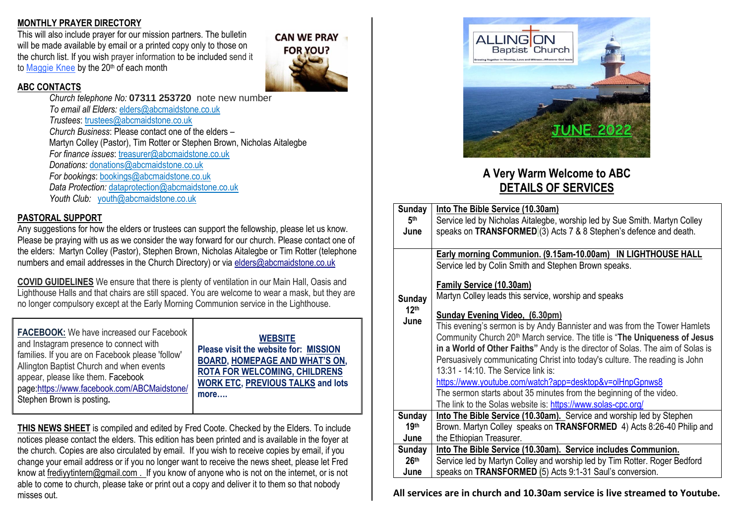### **MONTHLY PRAYER DIRECTORY**

This will also include prayer for our mission partners. The bulletin will be made available by email or a printed copy only to those on the church list. If you wish prayer information to be included send it to [Maggie](about:blank) Knee by the 20<sup>th</sup> of each month

#### **ABC CONTACTS**

*Church telephone No:* **07311 253720** note new number *To email all Elders:* [elders@abcmaidstone.co.uk](about:blank) *Trustees*: [trustees@abcmaidstone.co.uk](about:blank) *Church Business*: Please contact one of the elders – Martyn Colley (Pastor), Tim Rotter or Stephen Brown, Nicholas Aitalegbe *For finance issues*: [treasurer@abcmaidstone.co.uk](about:blank) *Donations:* [donations@abcmaidstone.co.uk](about:blank) *For bookings*: [bookings@abcmaidstone.co.uk](about:blank)  *Data Protection:* [dataprotection@abcmaidstone.co.uk](about:blank)  *Youth Club:* [youth@abcmaidstone.co.uk](about:blank)

### **PASTORAL SUPPORT**

Any suggestions for how the elders or trustees can support the fellowship, please let us know. Please be praying with us as we consider the way forward for our church. Please contact one of the elders: Martyn Colley (Pastor), Stephen Brown, Nicholas Aitalegbe or Tim Rotter (telephone numbers and email addresses in the Church Directory) or via [elders@abcmaidstone.co.uk](about:blank)

**COVID GUIDELINES** We ensure that there is plenty of ventilation in our Main Hall, Oasis and Lighthouse Halls and that chairs are still spaced. You are welcome to wear a mask, but they are no longer compulsory except at the Early Morning Communion service in the Lighthouse.

**FACEBOOK:** We have increased our Facebook and Instagram presence to connect with families. If you are on Facebook please 'follow' Allington Baptist Church and when events appear, please like them. Facebook page[:https://www.facebook.com/ABCMaidstone/](about:blank) Stephen Brown is posting**.**

**WEBSITE**

**Please visit the website for: [MISSION](about:blank)  [BOARD,](about:blank) [HOMEPAGE AND WHAT'S ON](about:blank), [ROTA FOR WELCOMING, CHILDRENS](about:blank)  [WORK ETC, PREVIOUS TALKS](about:blank) and lots more….**

**CAN WE PRAY** 

**FOR YOU?** 

**THIS NEWS SHEET** is compiled and edited by Fred Coote. Checked by the Elders. To include notices please contact the elders. This edition has been printed and is available in the foyer at the church. Copies are also circulated by email. If you wish to receive copies by email, if you change your email address or if you no longer want to receive the news sheet, please let Fred know at [frediyytintern@gmail.com](about:blank) . If you know of anyone who is not on the internet, or is not able to come to church, please take or print out a copy and deliver it to them so that nobody misses out.



# **A Very Warm Welcome to ABC DETAILS OF SERVICES**

| <b>Sunday</b>    | Into The Bible Service (10.30am)                                                       |  |  |
|------------------|----------------------------------------------------------------------------------------|--|--|
| 5 <sup>th</sup>  | Service led by Nicholas Aitalegbe, worship led by Sue Smith. Martyn Colley             |  |  |
| June             | speaks on TRANSFORMED (3) Acts 7 & 8 Stephen's defence and death.                      |  |  |
|                  |                                                                                        |  |  |
|                  | Early morning Communion. (9.15am-10.00am) IN LIGHTHOUSE HALL                           |  |  |
|                  | Service led by Colin Smith and Stephen Brown speaks.                                   |  |  |
|                  | Family Service (10.30am)                                                               |  |  |
| <b>Sunday</b>    | Martyn Colley leads this service, worship and speaks                                   |  |  |
| 12 <sup>th</sup> | <b>Sunday Evening Video, (6.30pm)</b>                                                  |  |  |
| June             | This evening's sermon is by Andy Bannister and was from the Tower Hamlets              |  |  |
|                  | Community Church 20 <sup>th</sup> March service. The title is "The Uniqueness of Jesus |  |  |
|                  | in a World of Other Faiths" Andy is the director of Solas. The aim of Solas is         |  |  |
|                  | Persuasively communicating Christ into today's culture. The reading is John            |  |  |
|                  | 13:31 - 14:10. The Service link is:                                                    |  |  |
|                  | https://www.youtube.com/watch?app=desktop&v=olHnpGpnws8                                |  |  |
|                  | The sermon starts about 35 minutes from the beginning of the video.                    |  |  |
|                  | The link to the Solas website is: https://www.solas-cpc.org/                           |  |  |
| <b>Sunday</b>    | Into The Bible Service (10.30am). Service and worship led by Stephen                   |  |  |
| 19 <sup>th</sup> | Brown. Martyn Colley speaks on TRANSFORMED 4) Acts 8:26-40 Philip and                  |  |  |
| June             | the Ethiopian Treasurer.                                                               |  |  |
| <b>Sunday</b>    | Into The Bible Service (10.30am). Service includes Communion.                          |  |  |
| 26 <sup>th</sup> | Service led by Martyn Colley and worship led by Tim Rotter. Roger Bedford              |  |  |
| June             | speaks on TRANSFORMED (5) Acts 9:1-31 Saul's conversion.                               |  |  |

**All services are in church and 10.30am service is live streamed to Youtube.**